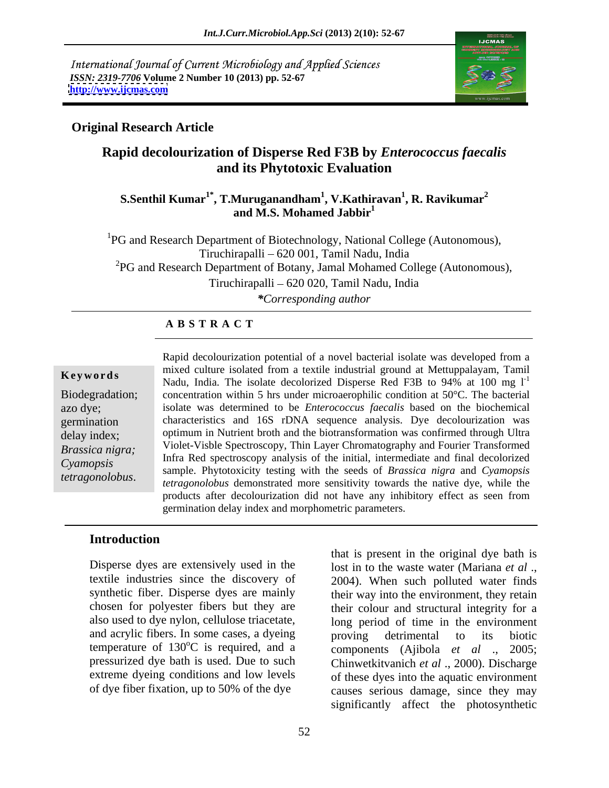International Journal of Current Microbiology and Applied Sciences *ISSN: 2319-7706* **Volume 2 Number 10 (2013) pp. 52-67 <http://www.ijcmas.com>**



## **Original Research Article**

# **Rapid decolourization of Disperse Red F3B by** *Enterococcus faecalis* **and its Phytotoxic Evaluation**

### **S.Senthil Kumar1\*, T.Muruganandham1 , V.Kathiravan<sup>1</sup> , R. Ravikumar<sup>2</sup> and M.S. Mohamed Jabbir<sup>1</sup>**

<sup>1</sup>PG and Research Department of Biotechnology, National College (Autonomous), Tiruchirapalli 620 001, Tamil Nadu, India  ${}^{2}PG$  and Research Department of Botany, Jamal Mohamed College (Autonomous), Tiruchirapalli 620 020, Tamil Nadu, India *\*Corresponding author* 

### **A B S T R A C T**

**Keywords Read Community** in the isolated from a textile mudstrial ground at Metupparayant, rannument Nadu, India. The isolate decolorized Disperse Red F3B to 94% at 100 mg l<sup>-1</sup> Biodegradation; concentration within 5 hrs under microaerophilic condition at 50°C. The bacterial azo dye; isolate was determined to be *Enterococcus faecalis* based on the biochemical germination characteristics and 16S rDNA sequence analysis. Dye decolourization was delay index; optimum in Nutrient broth and the biotransformation was confirmed through Ultra *Brassica nigra;*  Violet-Visble Spectroscopy, Thin Layer Chromatography and Fourier Transformed *Cyamopsis*  sample. Phytotoxicity testing with the seeds of *Brassica nigra* and *Cyamopsis*  **Example 18**<br> **Keywords** mixed culture isolated from a textile industrial ground at Mettuppalayam, Tamil<br>
Madu, India. The isolate decolorized Disperse Red F3B to 94% at 100 mg 1<sup>-1</sup><br>
Biodegradation; concentration within 5 mixed culture isolated from a textile industrial ground at Mettuppalayam, Tamil Infra Red spectroscopy analysis of the initial, intermediate and final decolorized *tetragonolobus* demonstrated more sensitivity towards the native dye, while the products after decolourization did not have any inhibitory effect as seen from germination delay index and morphometric parameters.

### **Introduction**

Disperse dyes are extensively used in the lost in to the waste water (Mariana *et al* ., textile industries since the discovery of 2004). When such polluted water finds synthetic fiber. Disperse dyes are mainly their way into the environment, they retain chosen for polyester fibers but they are their colour and structural integrity for a also used to dye nylon, cellulose triacetate, and acrylic fibers. In some cases, a dyeing proving detrimental to its biotic temperature of  $130^{\circ}$ C is required, and a pressurized dye bath is used. Due to such Chinwetkitvanich *et al* ., 2000). Discharge extreme dyeing conditions and low levels

of dye fiber fixation, up to 50% of the dye causes serious damage, since they may that is present in the original dye bath is long period of time in the environment proving detrimental to its biotic components (Ajibola *et al* ., 2005; of these dyes into the aquatic environment significantly affect the photosynthetic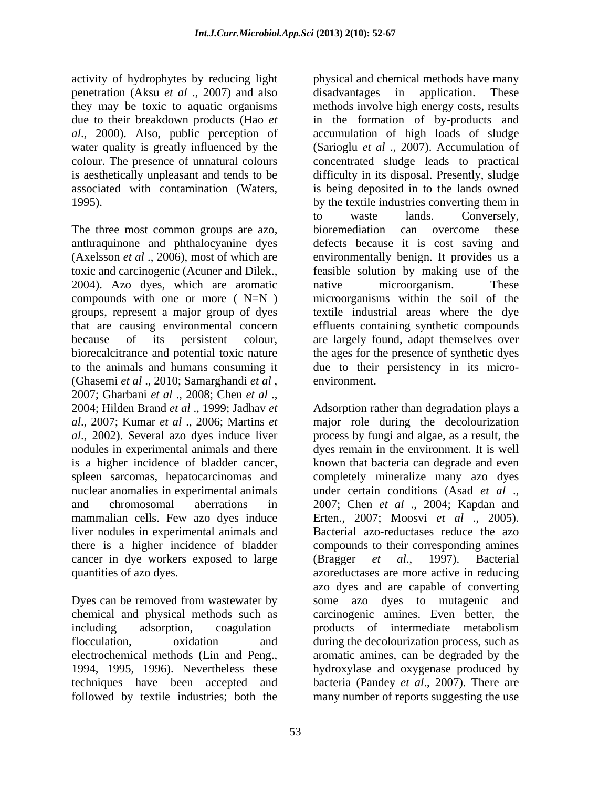activity of hydrophytes by reducing light physical and chemical methods have many penetration (Aksu *et al* ., 2007) and also

The three most common groups are azo, bioremediation can overcome these (Ghasemi *et al* ., 2010; Samarghandi *et al* , environment.<br>2007; Gharbani *et al* ., 2008; Chen *et al* ., 2004; Hilden Brand *et al* ., 1999; Jadhav *et*  Adsorption rather than degradation plays a *al*., 2007; Kumar *et al* ., 2006; Martins *et*  major role during the decolourization *al*., 2002). Several azo dyes induce liver process by fungi and algae, as a result, the nodules in experimental animals and there dyes remain in the environment. It is well is a higher incidence of bladder cancer, known that bacteria can degrade and even spleen sarcomas, hepatocarcinomas and completely mineralize many azo dyes nuclear anomalies in experimental animals under certain conditions (Asad *et al* ., and chromosomal aberrations in 2007; Chen *et al* ., 2004; Kapdan and mammalian cells. Few azo dyes induce Erten., 2007; Moosvi *et al*., 2005). liver nodules in experimental animals and there is a higher incidence of bladder compounds to their corresponding amines cancer in dye workers exposed to large (Bragger *et al.*, 1997). Bacterial

Dyes can be removed from wastewater by some azo dyes to mutagenic and chemical and physical methods such as including adsorption, coagulation- products of intermediate metabolism flocculation, oxidation and during the decolourization process, such as electrochemical methods (Lin and Peng., aromatic amines, can be degraded by the 1994, 1995, 1996). Nevertheless these hydroxylase and oxygenase produced by techniques have been accepted and followed by textile industries; both the many number of reports suggesting the use

they may be toxic to aquatic organisms methods involve high energy costs, results due to their breakdown products (Hao *et*  in the formation of by-products and *al*., 2000). Also, public perception of accumulation of high loads of sludge water quality is greatly influenced by the (Sarioglu *et al* ., 2007). Accumulation of colour. The presence of unnatural colours concentrated sludge leads to practical is aesthetically unpleasant and tends to be difficulty in its disposal. Presently, sludge associated with contamination (Waters, is being deposited in to the lands owned 1995). by the textile industries converting them in anthraquinone and phthalocyanine dyes defects because it is cost saving and (Axelsson *et al* ., 2006), most of which are environmentally benign. It provides us a toxic and carcinogenic (Acuner and Dilek., 2004). Azo dyes, which are aromatic compounds with one or more  $(-N=N-)$  microorganisms within the soil of the groups, represent a major group of dyes textile industrial areas where the dye that are causing environmental concern effluents containing synthetic compounds because of its persistent colour, are largely found, adapt themselves over biorecalcitrance and potential toxic nature the ages for the presence of synthetic dyes to the animals and humans consuming it due to their persistency in its micro disadvantages in application. to waste lands. Conversely, bioremediation can overcome feasible solution by making use of the native microorganism. These environment.

quantities of azo dyes. azoreductases are more active in reducing Bacterial azo-reductases reduce the azo (Bragger *et al*., 1997). Bacterial azo dyes and are capable of converting carcinogenic amines. Even better, the products of intermediate metabolism aromaticamines, can be degraded by the hydroxylase and oxygenase produced by bacteria (Pandey *et al.*, 2007). There are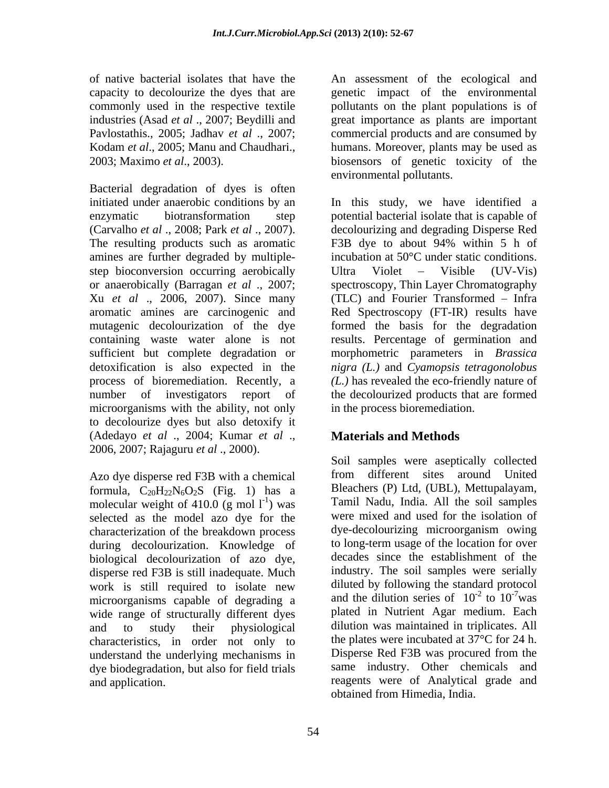Bacterial degradation of dyes is often initiated under anaerobic conditions by an In this study, we have identified a enzymatic biotransformation step potential bacterial isolate that is capable of (Carvalho *et al* ., 2008; Park *et al* ., 2007). decolourizing and degrading Disperse Red The resulting products such as aromatic F3B dye to about 94% within 5 h of amines are further degraded by multiple step bioconversion occurring aerobically Ultra Violet – Visible (UV-Vis) or anaerobically (Barragan *et al* ., 2007; spectroscopy, Thin Layer Chromatography Xu *et al* ., 2006, 2007). Since many (TLC) and Fourier Transformed – Infra aromatic amines are carcinogenic and Red Spectroscopy (FT-IR) results have mutagenic decolourization of the dye formed the basis for the degradation containing waste water alone is not results. Percentage of germination and sufficient but complete degradation or morphometric parameters in *Brassica* detoxification is also expected in the *nigra (L.)* and *Cyamopsis tetragonolobus* process of bioremediation. Recently, a number of investigators report of microorganisms with the ability, not only to decolourize dyes but also detoxify it (Adedayo *et al* ., 2004; Kumar *et al* ., 2006, 2007; Rajaguru *et al* ., 2000).

Azo dye disperse red F3B with a chemical formula,  $C_{20}H_{22}N_6O_2S$  (Fig. 1) has a molecular weight of 410.0 (g mol  $1^{-1}$ ) was selected as the model azo dye for the characterization of the breakdown process during decolourization. Knowledge of biological decolourization of azo dye, disperse red F3B is still inadequate. Much work is still required to isolate new microorganisms capable of degrading a wide range of structurally different dyes characteristics, in order not only to the plates were incubated at 37<sup>o</sup>C for 24 h.<br>understand the underlying mechanisms in Disperse Red F3B was procured from the understand the underlying mechanisms in dye biodegradation, but also for field trials

of native bacterial isolates that have the An assessment of the ecological and capacity to decolourize the dyes that are genetic impact of the environmental commonly used in the respective textile pollutants on the plant populations is of industries (Asad *et al* ., 2007; Beydilli and great importance as plants are important Pavlostathis., 2005; Jadhav *et al* ., 2007; commercial products and are consumed by Kodam *et al.*, 2005; Manu and Chaudhari., humans. Moreover, plants may be used as 2003; Maximo *et al*., 2003). biosensors of genetic toxicity of the environmental pollutants.

> F3B dye to about 94% within 5 h of incubation at 50°C under static conditions. Ultra Violet – Visible (UV-Vis) *(L.)* has revealed the eco-friendly nature of the decolourized products that are formed in the process bioremediation.

# **Materials and Methods**

) was Tamil Nadu, India. All the soil samples and to study their physiological dilution was maintained in triplicates. All and application. reagents were of Analytical grade and Soil samples were aseptically collected from different sites around United Bleachers (P) Ltd, (UBL), Mettupalayam, were mixed and used for the isolation of dye-decolourizing microorganism owing to long-term usage of the location for over decades since the establishment of the industry. The soil samples were serially diluted by following the standard protocol and the dilution series of  $10^{-2}$  to  $10^{-7}$  was  $-2 \frac{10^{-7}}{10^{3}}$ to  $10^{-7}$  was  $^{-7}$ was plated in Nutrient Agar medium. Each the plates were incubated at 37°C for 24 h. Disperse Red F3B was procured from the same industry. Other chemicals and obtained from Himedia, India.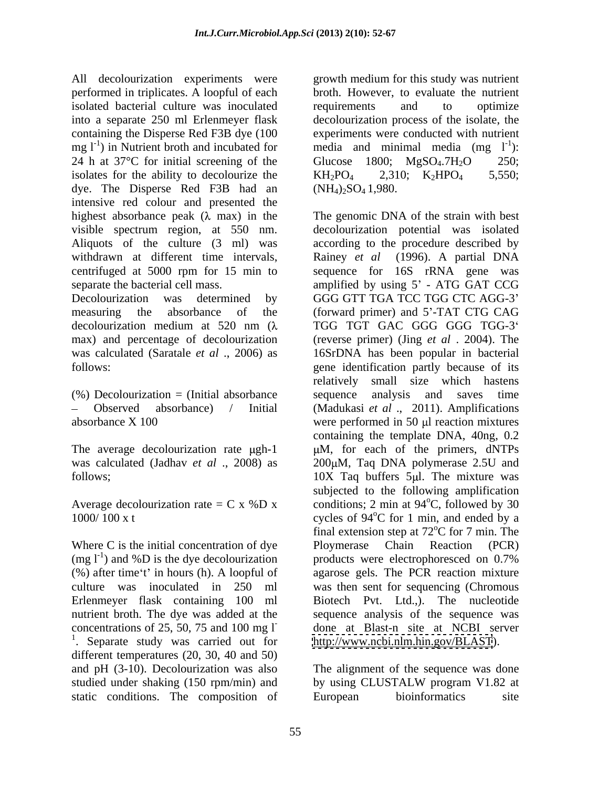All decolourization experiments were growth medium for this study was nutrient performed in triplicates. A loopful of each broth. However, to evaluate the nutrient isolated bacterial culture was inoculated into a separate 250 ml Erlenmeyer flask decolourization process of the isolate, the containing the Disperse Red F3B dye (100 mg  $1^{-1}$ ) in Nutrient broth and incubated for media and minimal media (mg  $1^{-1}$ ): 24 h at 37 $^{\circ}$ C for initial screening of the Glucose 1800; MgSO<sub>4</sub>.7H<sub>2</sub>O 250; isolates for the ability to decolourize the  $KH_2PO_4$  2,310;  $K_2HPO_4$  5,550; dye. The Disperse Red F3B had an intensive red colour and presented the centrifuged at 5000 rpm for 15 min to

 $(\%)$  Decolourization = (Initial absorbance sequence analysis and saves time

Where C is the initial concentration of dye Ploymerase Chain Reaction (PCR)  $(mg l^{-1})$  and %D is the dye decolourization nutrient broth. The dye was added at the  $\frac{1}{1}$ . Separate study was carried out for different temperatures (20, 30, 40 and 50) and pH (3-10). Decolourization was also The alignment of the sequence was done studied under shaking (150 rpm/min) and by using CLUSTALW program V1.82 at static conditions. The composition of European bioinformatics site

requirements and to optimize experiments were conducted with nutrient ): Glucose 1800;  $MgSO_4.7H_2O$  250;  $KH_2PO_4$  2,310;  $K_2HPO_4$  5,550;  $(NH_4)$ <sub>2</sub>SO<sub>4</sub> 1,980.

highest absorbance peak  $(\lambda \text{ max})$  in the The genomic DNA of the strain with best visible spectrum region, at 550 nm. decolourization potential was isolated<br>Aliquots of the culture (3 ml) was according to the procedure described by withdrawn at different time intervals, Rainey *et al* (1996). A partial DNA separate the bacterial cell mass.  $\blacksquare$  amplified by using 5' - ATG GAT CCG Decolourization was determined by GGG GTT TGA TCC TGG CTC AGG-3' measuring the absorbance of the (forward primer) and 5'-TAT CTG CAG decolourization medium at 520 nm ( $\lambda$  TGG TGT GAC GGG GGG TGG-3<sup>°</sup> max) and percentage of decolourization (reverse primer) (Jing *et al* . 2004). The was calculated (Saratale *et al* ., 2006) as 16SrDNA has been popular in bacterial follows: gene identification partly because of its Observed absorbance) / Initial (Madukasi *et al* ., 2011). Amplifications  $absorbance X 100$  were performed in 50  $\mu$  reaction mixtures The average decolourization rate  $\mu gh-1$   $\mu M$ , for each of the primers, dNTPs was calculated (Jadhav *et al* ., 2008) as 200 $\mu$ M, Taq DNA polymerase 2.5U and follows; and the mixture was the mixture was follows; Average decolourization rate = C x %D x conditions; 2 min at  $94^{\circ}$ C, followed by 30  $1000/100 \text{ x t}$  cycles of 94<sup>o</sup>C for 1 min, and ended by a products were electrophoresced on 0.7% (%) after time 't' in hours (h). A loopful of agarose gels. The PCR reaction mixture culture was inoculated in 250 ml was then sent for sequencing (Chromous Erlenmeyer flask containing 100 ml Biotech Pvt. Ltd.,). The nucleotide concentrations of 25, 50, 75 and 100 mg l<sup>-</sup> done at Blast-n site at NCBI server decolourization potential was isolated according to the procedure described by sequence for 16S rRNA gene was relatively small size which hastens sequence analysis and saves time containing the template DNA, 40ng, 0.2 subjected to the following amplification oC, followed by 30 final extension step at  $72^{\circ}$ C for 7 min. The oC for 7 min. The Ploymerase Chain Reaction (PCR) products were electrophoresced on 0.7% sequence analysis of the sequence was done at Blast-n site at NCBI server <http://www.ncbi.nlm.hin.gov/BLAST>).

> by using CLUSTALW program V1.82 at European bioinformatics site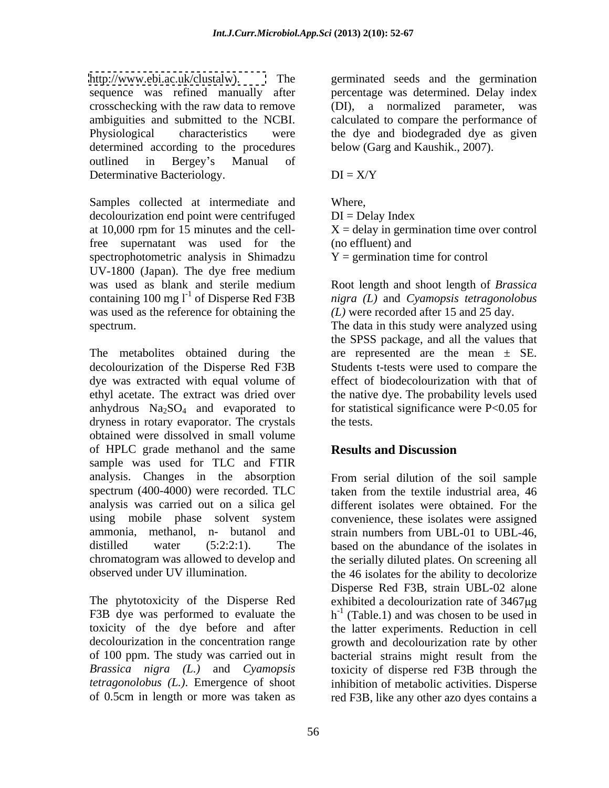[http://www.ebi.ac.uk/clustalw\).](http://www.ebi.ac.uk/clustalw) The germinated seeds and the germination sequence was refined manually after percentage was determined. Delay index crosschecking with the raw data to remove (DI), a normalized parameter, was ambiguities and submitted to the NCBI. calculated to compare the performance of Physiological characteristics were the dye and biodegraded dye as given determined according to the procedures outlined in Bergey's Manual of Determinative Bacteriology.  $DI = X/Y$ 

Samples collected at intermediate and Where, decolourization end point were centrifuged DI = Delay Index at 10,000 rpm for 15 minutes and the cell- $X =$ delay in germination time over control free supernatant was used for the spectrophotometric analysis in Shimadzu UV-1800 (Japan). The dye free medium was used as blank and sterile medium Root length and shoot length of *Brassica*  containing  $100 \text{ mg } l^{\text{-}1}$  of Disperse Red F3B was used as the reference for obtaining the

dye was extracted with equal volume of ethyl acetate. The extract was dried over anhydrous  $Na<sub>2</sub>SO<sub>4</sub>$  and evaporated to dryness in rotary evaporator. The crystals the tests. obtained were dissolved in small volume of HPLC grade methanol and the same **Results and Discussion** sample was used for TLC and FTIR analysis. Changes in the absorption From serial dilution of the soil sample spectrum (400-4000) were recorded. TLC taken from the textile industrial area, 46 analysis was carried out on a silica gel using mobile phase solvent system convenience, these isolates were assigned ammonia, methanol, n- butanol and strain numbers from UBL-01 to UBL-46, distilled water (5:2:2:1). The based on the abundance of the isolates in chromatogram was allowed to develop and the serially diluted plates. On screening all

(DI), a normalized parameter, below (Garg and Kaushik., 2007).

 $DI = X/Y$ 

Where,  $DI = Delay Index$ (no effluent) and  $Y =$  germination time for control

 of Disperse Red F3B *nigra (L)* and *Cyamopsis tetragonolobus* spectrum. The data in this study were analyzed using The metabolites obtained during the are represented are the mean ± SE. decolourization of the Disperse Red F3B Students t-tests were used to compare the *(L)* were recorded after 15 and 25 day*.* the SPSS package, and all the values that effect of biodecolourization with that of the native dye. The probability levels used for statistical significance were P<0.05 for the tests.

# **Results and Discussion**

observed under UV illumination. the 46 isolates for the ability to decolorize The phytotoxicity of the Disperse Red exhibited a decolourization rate of 3467µg F3B dye was performed to evaluate the  $h^{-1}$  (Table.1) and was chosen to be used in toxicity of the dye before and after the latter experiments. Reduction in cell decolourization in the concentration range growth and decolourization rate by other of 100 ppm. The study was carried out in bacterial strains might result from the *Brassica nigra (L.)* and *Cyamopsis* toxicity of disperse red F3B through the *tetragonolobus (L.)*. Emergence of shoot inhibition of metabolic activities. Disperse of 0.5cm in length or more was taken as red F3B, like any other azo dyes contains a taken from the textile industrial area, 46 different isolates were obtained. For the Disperse Red F3B, strain UBL-02 alone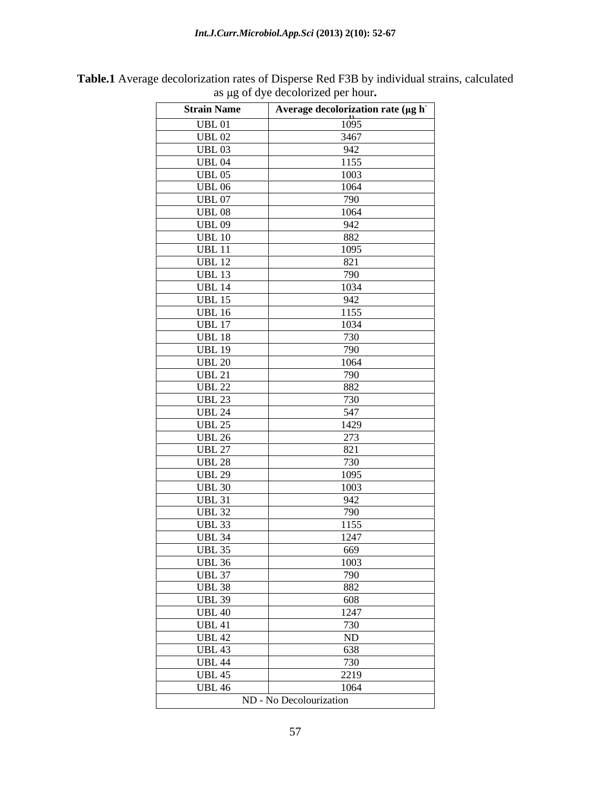| <b>Strain Name</b> | Average decolorization rate (µg h |
|--------------------|-----------------------------------|
| <b>UBL01</b>       | 1095                              |
| <b>UBL 02</b>      | 3467                              |
| <b>UBL03</b>       | 942                               |
| <b>UBL 04</b>      | 1155                              |
| <b>UBL 05</b>      | 1003                              |
| <b>UBL 06</b>      | 1064                              |
| <b>UBL 07</b>      | 790                               |
| <b>UBL08</b>       | 1064                              |
| <b>UBL 09</b>      |                                   |
| <b>UBL 10</b>      |                                   |
| <b>UBL 11</b>      | $\frac{942}{882}$<br>1095         |
| <b>UBL 12</b>      | 821                               |
| <b>UBL 13</b>      | 790                               |
| <b>UBL 14</b>      | 1034                              |
| <b>UBL 15</b>      | 942                               |
| <b>UBL 16</b>      | 1155                              |
| <b>UBL 17</b>      | 1034                              |
| <b>UBL 18</b>      | 730                               |
| <b>UBL 19</b>      | 790                               |
| <b>UBL 20</b>      | 1064                              |
| <b>UBL 21</b>      | 790                               |
| <b>UBL 22</b>      | 882                               |
| <b>UBL 23</b>      | 730                               |
| <b>UBL 24</b>      | 547                               |
| <b>UBL 25</b>      | 1429                              |
| <b>UBL 26</b>      | 273                               |
| <b>UBL 27</b>      | 821                               |
| <b>UBL 28</b>      | 730                               |
| <b>UBL 29</b>      | 1095                              |
| <b>UBL 30</b>      | 1003                              |
| <b>UBL 31</b>      |                                   |
| <b>UBL 32</b>      | $\frac{942}{790}$                 |
| <b>UBL 33</b>      | 1155                              |
| <b>UBL 34</b>      | 1247                              |
| <b>UBL 35</b>      | 669                               |
| <b>UBL 36</b>      | 1003                              |
| <b>UBL 37</b>      | 790                               |
| <b>UBL 38</b>      | 882                               |
| <b>UBL 39</b>      | 608                               |
| <b>UBL 40</b>      | 1247                              |
| <b>UBL 41</b>      | 730                               |
| <b>UBL 42</b>      | ND                                |
| <b>UBL 43</b>      | 638                               |
| <b>UBL 44</b>      | 730                               |
| <b>UBL 45</b>      | 2219                              |
| <b>UBL 46</b>      | 1064                              |
|                    | ND - No Decolourization           |

**Table.1** Average decolorization rates of Disperse Red F3B by individual strains, calculated as  $\mu$ g of dye decolorized per hour.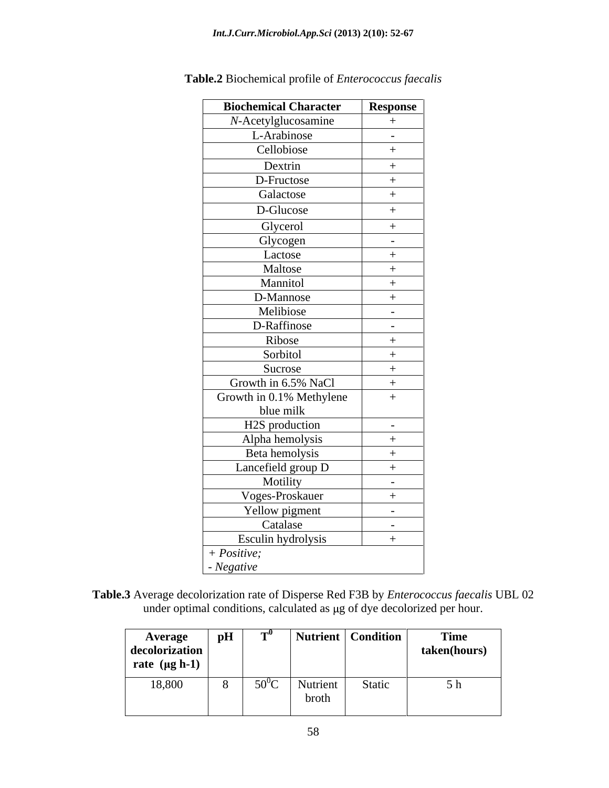| <b>Biochemical Character</b> | Response |
|------------------------------|----------|
| N-Acetylglucosamine          | $+$      |
| L-Arabinose                  | $\sim$   |
| Cellobiose                   | $+$      |
| Dextrin                      | $+$      |
| D-Fructose                   | $+$      |
| Galactose                    | $+$      |
| D-Glucose                    | $+$      |
| Glycerol                     | $+$      |
| Glycogen                     | $\sim$   |
| Lactose                      | $+$      |
| Maltose                      | $+$      |
| Mannitol                     | $+$      |
| D-Mannose                    | $+$      |
| Melibiose                    | $\sim$   |
| D-Raffinose                  | $\sim$   |
| Ribose                       | $+$      |
| Sorbitol                     | $+$      |
| Sucrose                      | $+$      |
| Growth in 6.5% NaCl          | $+$      |
| Growth in 0.1% Methylene     | $+$      |
| blue milk                    |          |
| H2S production               | $\sim$   |
| Alpha hemolysis              | $+$      |
| Beta hemolysis               | $+$      |
| Lancefield group D           | $+$      |
| Motility                     | $\sim$   |
| Voges-Proskauer              | $+$      |
| Yellow pigment               | $\sim$   |
| Catalase                     | $\sim$   |
| Esculin hydrolysis           | $+$      |
| $+ Positive;$                |          |
| - Negative                   |          |

**Table.2** Biochemical profile of *Enterococcus faecalis*

**Table.3** Average decolorization rate of Disperse Red F3B by *Enterococcus faecalis* UBL 02 under optimal conditions, calculated as µg of dye decolorized per hour.

| pH<br><b>Average</b><br>decolorization<br>rate $(\mu g h-1)$ | Nutrient   Condition | Time<br>taken(hours) |
|--------------------------------------------------------------|----------------------|----------------------|
| 18,800<br>$50^0C$<br>. . -                                   | Nutrient<br>broth    | $-1$<br>Static<br>,  |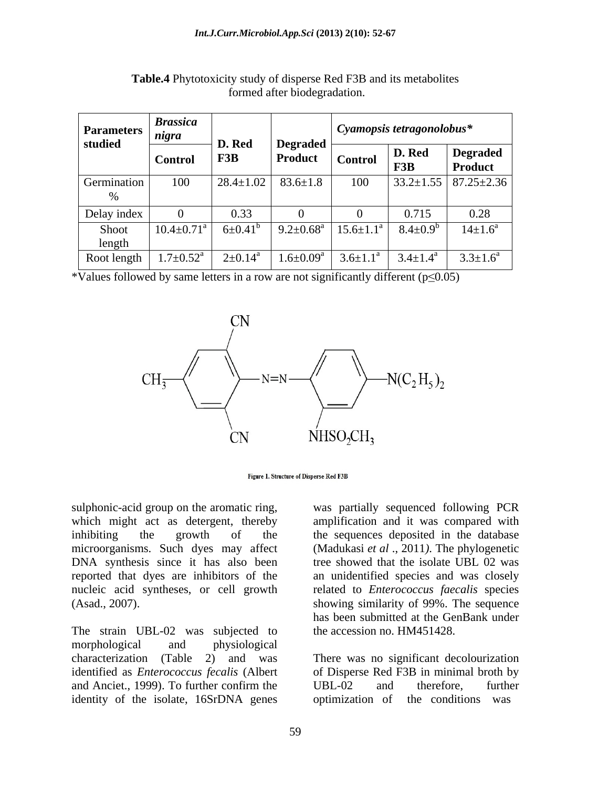| Parameters $\frac{1}{nigra}$<br>studied | <b>Brassica</b>              | D. Red               |                                     | $\vert$ Cyamopsis tetragonolobus* |                 |                                    |
|-----------------------------------------|------------------------------|----------------------|-------------------------------------|-----------------------------------|-----------------|------------------------------------|
|                                         | <b>Control</b>               | F3B                  | <b>Degraded  </b><br><b>Product</b> | <b>Control</b>                    | D. Red<br>F3B   | <b>Degraded</b><br><b>Product</b>  |
| Germination                             | 100                          | $28.4 \pm 1.02$      | $83.6 \pm 1.8$                      | 100                               |                 | $33.2 \pm 1.55$   87.25 $\pm$ 2.36 |
| Delay index                             |                              | 0.33                 |                                     |                                   | 0.715           | 0.28                               |
| Shoot<br>length                         | $10.4 \pm 0.71$ <sup>a</sup> | $6 \pm 0.41^{\circ}$ | $9.2 \pm 0.68^{\text{a}}$           | $15.6 \pm 1.1$                    | $8.4 \pm 0.9^b$ | $14 \pm 1.6^{\circ}$               |
| Root length                             | $1.7 \pm 0.52^{\text{a}}$    | $2 \pm 0.14^a$       | $1.6 \pm 0.09^{\rm a}$              | $3.6 \pm 1.1^{\circ}$             | $3.4 \pm 1.4^a$ | $3.3 \pm 1.6^a$                    |

**Table.4** Phytotoxicity study of disperse Red F3B and its metabolites formed after biodegradation.

\*Values followed by same letters in a row are not significantly different ( $p \le 0.05$ )



Figure 1. Structure of Disperse Red F3B

sulphonic-acid group on the aromatic ring, which might act as detergent, thereby amplification and it was compared with inhibiting the growth of the the sequences deposited in the database microorganisms. Such dyes may affect (Madukasi *et al* ., 2011*)*.The phylogenetic DNA synthesis since it has also been reported that dyes are inhibitors of the an unidentified species and was closely nucleic acid syntheses, or cell growth related to *Enterococcus faecalis* species

The strain UBL-02 was subjected to morphological and physiological characterization (Table 2) and was There was no significant decolourization identified as *Enterococcus fecalis* (Albert of Disperse Red F3B in minimal broth by and Anciet., 1999). To further confirm the UBL-02 and therefore, further identity of the isolate, 16SrDNA genes optimization of

(Asad., 2007). showing similarity of 99%. The sequence was partially sequenced following PCR tree showed that the isolate UBL 02 was has been submitted at the GenBank under the accession no. HM451428.

> UBL-02 and therefore, further the conditions was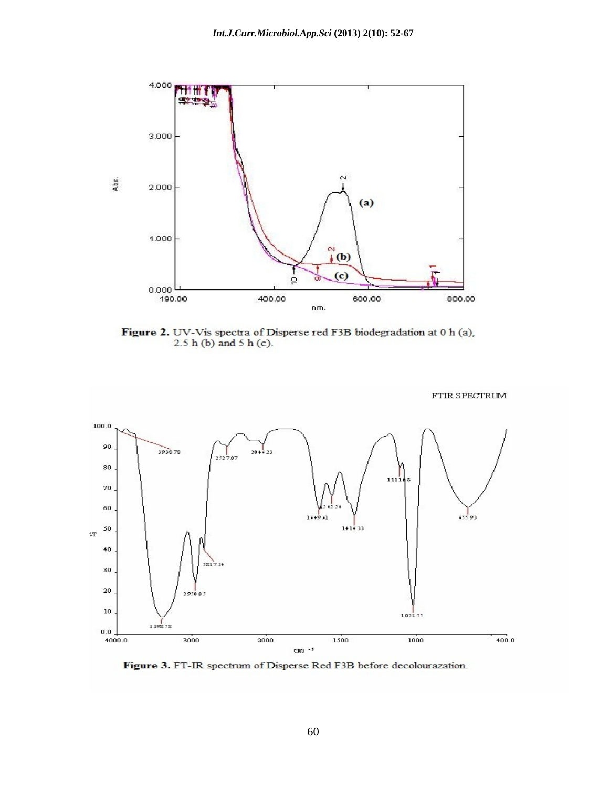

Figure 2. UV-Vis spectra of Disperse red F3B biodegradation at 0 h (a),  $2.5 h (b)$  and  $5 h (c)$ .



Figure 3. FT-IR spectrum of Disperse Red F3B before decolourazation.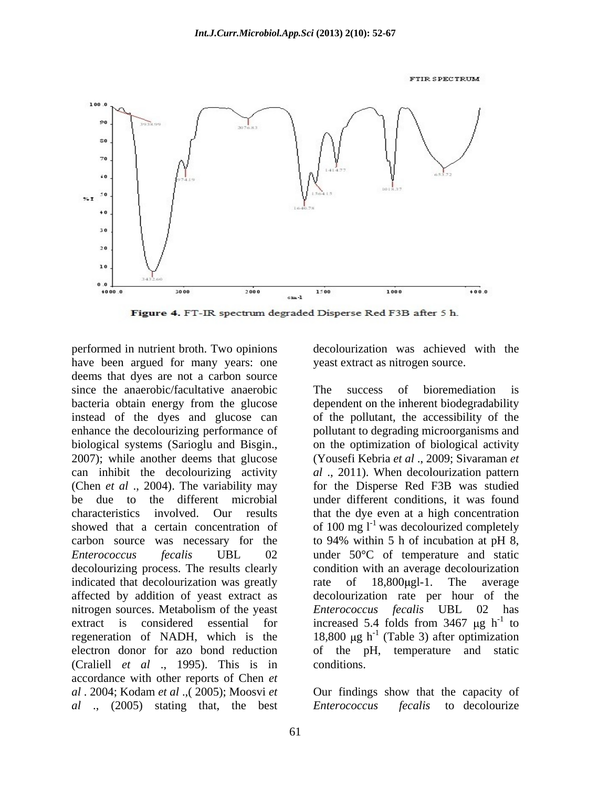**FTIR SPECTRUM** 



Figure 4. FT-IR spectrum degraded Disperse Red F3B after 5 h.

performed in nutrient broth. Two opinions have been argued for many years: one deems that dyes are not a carbon source since the anaerobic/facultative anaerobic The success of bioremediation is bacteria obtain energy from the glucose instead of the dyes and glucose can of the pollutant, the accessibility of the enhance the decolourizing performance of pollutant to degrading microorganisms and biological systems (Sarioglu and Bisgin., on the optimization of biological activity 2007); while another deems that glucose (Yousefi Kebria *et al* ., 2009; Sivaraman *et* can inhibit the decolourizing activity *al* ., 2011). When decolourization pattern (Chen *et al* ., 2004). The variability may for the Disperse Red F3B was studied be due to the different microbial under different conditions, it was found characteristics involved. Our results that the dye even at a high concentration showed that a certain concentration of of 100 mg  $1^{-1}$  was decolourized completely carbon source was necessary for the to 94% within 5 h of incubation at pH 8. *Enterococcus fecalis* UBL 02 under 50°C of temperature and static decolourizing process. The results clearly condition with an average decolourization indicated that decolourization was greatly rate of 18,800 ugl -1. The average affected by addition of yeast extract as decolourization rate per hour of the nitrogen sources. Metabolism of the yeast Enterococcus fecalis UBL 02 has extract is considered essential for increased 5.4 folds from  $3467 \mu g h^{-1}$  to regeneration of NADH, which is the  $18,800 \mu g h^{-1}$  (Table 3) after optimization electron donor for azo bond reduction of the pH, temperature and static (Craliell *et al* ., 1995). This is in accordance with other reports of Chen *et al* . 2004; Kodam *et al* .,( 2005); Moosvi *et*  Our findings show that the capacity of *al* ., (2005) stating that, the best

decolourization was achieved with the yeast extract as nitrogen source.

The success of bioremediation is dependent on the inherent biodegradability on the optimization of biological activity (Yousefi Kebria *et al* ., 2009; Sivaraman *et*  to 94% within 5 h of incubation at pH 8, rate of 18,800µgl-1. The average *Enterococcus fecalis* UBL 02 has  $-1$  to  $\overline{ }$ to conditions.

to decolourize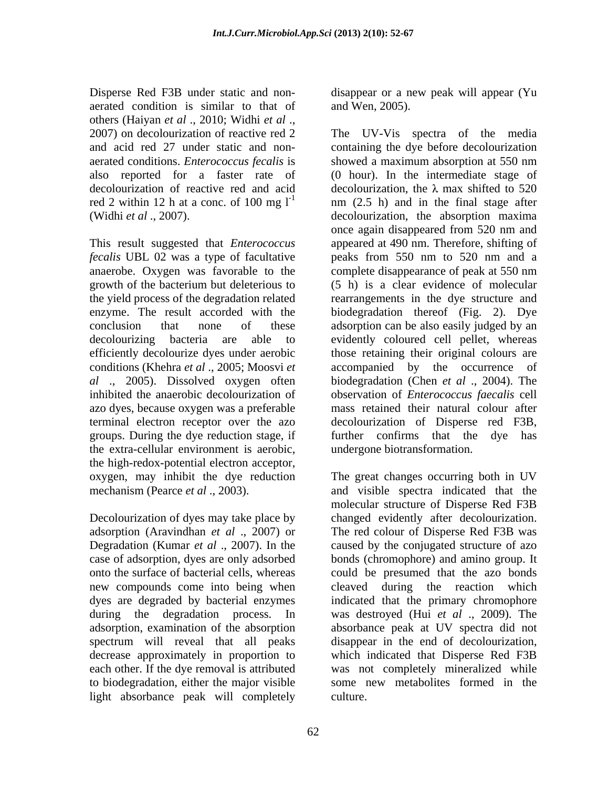Disperse Red F3B under static and non- disappear or a new peak will appear (Yu aerated condition is similar to that of others (Haiyan *et al* ., 2010; Widhi *et al* ., 2007) on decolourization of reactive red 2 aerated conditions. *Enterococcus fecalis* is

This result suggested that *Enterococcus fecalis* UBL 02 was a type of facultative anaerobe. Oxygen was favorable to the azo dyes, because oxygen was a preferable the extra-cellular environment is aerobic, the high-redox-potential electron acceptor,

to biodegradation, either the major visible light absorbance peak will completely and Wen, 2005).

and acid red 27 under static and non- containing the dye before decolourization also reported for a faster rate of (0 hour). In the intermediate stage of decolourization of reactive red and acid decolourization, the  $\lambda$  max shifted to 520 red 2 within 12 h at a conc. of 100 mg  $I<sup>-1</sup>$  nm (2.5 h) and in the final stage after (Widhi *et al* ., 2007). decolourization, the absorption maxima growth of the bacterium but deleterious to (5 h) is a clear evidence of molecular the yield process of the degradation related rearrangements in the dye structure and enzyme. The result accorded with the biodegradation thereof (Fig. 2). Dye conclusion that none of these adsorption can be also easily judged by an decolourizing bacteria are able to evidently coloured cell pellet, whereas efficiently decolourize dyes under aerobic those retaining their original colours are conditions (Khehra *et al* ., 2005; Moosvi *et*  accompanied by the occurrence of *al* ., 2005). Dissolved oxygen often biodegradation (Chen *et al* ., 2004). The inhibited the anaerobic decolourization of observation of *Enterococcus faecalis* cell terminal electron receptor over the azo decolourization of Disperse red F3B, groups. During the dye reduction stage, if further confirms that the dye has The UV-Vis spectra of the media showed a maximum absorption at 550 nm once again disappeared from 520 nm and appeared at 490 nm. Therefore, shifting of peaks from 550 nm to 520 nm and a complete disappearance of peak at 550 nm mass retained their natural colour after undergone biotransformation.

oxygen, may inhibit the dye reduction The great changes occurring both in UV mechanism (Pearce *et al* ., 2003). and visible spectra indicated that the Decolourization of dyes may take place by changed evidently after decolourization. adsorption (Aravindhan *et al* ., 2007) or The red colour of Disperse Red F3B was Degradation (Kumar *et al* ., 2007). In the caused by the conjugated structure of azo case of adsorption, dyes are only adsorbed bonds (chromophore) and amino group. It onto the surface of bacterial cells, whereas could be presumed that the azo bonds new compounds come into being when cleaved during the reaction which dyes are degraded by bacterial enzymes indicated that the primary chromophore during the degradation process. In was destroyed (Hui *et al* ., 2009). The adsorption, examination of the absorption absorbance peak at UV spectra did not spectrum will reveal that all peaks disappear in the end of decolourization, decrease approximately in proportion to which indicated that Disperse Red F3B each other. If the dye removal is attributed was not completely mineralized while molecular structure of Disperse Red F3B some new metabolites formed in the culture.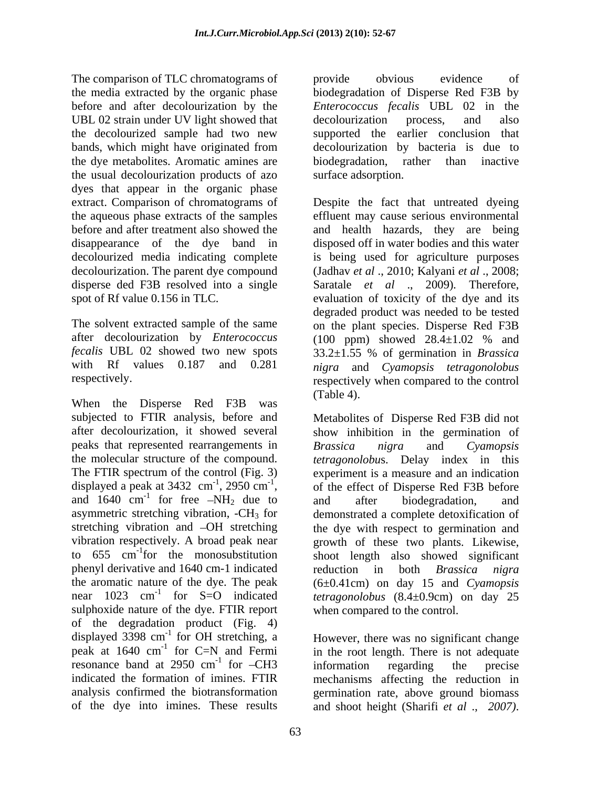The comparison of TLC chromatograms of the provide obvious evidence of the media extracted by the organic phase biodegradation of Disperse Red F3B by before and after decolourization by the *Enterococcus fecalis* UBL 02 in the UBL 02 strain under UV light showed that decolourization process, and also the decolourized sample had two new supported the earlier conclusion that bands, which might have originated from decolourization by bacteria is due to the dye metabolites. Aromatic amines are biodegradation, rather than inactive the usual decolourization products of azo dyes that appear in the organic phase extract. Comparison of chromatograms of Despite the fact that untreated dyeing the aqueous phase extracts of the samples effluent may cause serious environmental before and after treatment also showed the and health hazards, they are being disappearance of the dye band in disposed off in water bodies and this water decolourized media indicating complete decolourization. The parent dye compound disperse ded F3B resolved into a single Saratale *et al* ., 2009)*.* Therefore, spot of Rf value 0.156 in TLC. evaluation of toxicity of the dye and its

after decolourization by *Enterococcus*

When the Disperse Red F3B was (Table 4). peaks that represented rearrangements in Brassica nigra and Cyamopsis and  $1640 \text{ cm}^{-1}$  for free  $-NH_2$  due to and after biodegradation, and to  $655$  cm<sup>-1</sup> for the monosubstitution phenyl derivative and 1640 cm-1 indicated reduction in both *Brassica nigra* sulphoxide nature of the dye. FTIR report of the degradation product (Fig. 4) displayed 3398 cm<sup>-1</sup> for OH stretching, a peak at 1640 cm<sup>-1</sup> for C=N and Fermi<br>resonance band at 2950 cm<sup>-1</sup> for -CH3 resonance band at 2950 cm<sup>-1</sup> for  $-CH3$  information regarding the precise indicated the formation of imines. FTIR mechanisms affecting the reduction in analysis confirmed the biotransformation germination rate, above ground biomass

provide obvious evidence of decolourization process, and also biodegradation, rather than inactive surface adsorption.

The solvent extracted sample of the same on the plant species. Disperse Red F3B *fecalis* UBL 02 showed two new spots 33.2±1.55 % of germination in *Brassica*  with Rf values 0.187 and 0.281 *nigra* and *Cyamopsis tetragonolobus* respectively. respectively when compared to the control is being used for agriculture purposes (Jadhav *et al* ., 2010; Kalyani *et al* ., 2008; degraded product was needed to be tested (100 ppm) showed 28.4±1.02 % and (Table 4).

subjected to FTIR analysis, before and Metabolites of Disperse Red F3B did not after decolourization, it showed several show inhibition in the germination of the molecular structure of the compound. *tetragonolobu*s. Delay index in this The FTIR spectrum of the control (Fig. 3) experiment is a measure and an indication displayed a peak at 3432 cm<sup>-1</sup>, 2950 cm<sup>-1</sup>, of the effect of Disperse Red F3B before displayed a peak at 3432 cm<sup>-1</sup>, 2950 cm<sup>-1</sup>, of the effect of Disperse Red F3B before<br>and 1640 cm<sup>-1</sup> for free  $-NH_2$  due to and after biodegradation, and for free  $-NH_2$  due to and after biodegradation, and asymmetric stretching vibration, -CH<sub>3</sub> for demonstrated a complete detoxification of stretching vibration and OH stretching the dye with respect to germination and vibration respectively. A broad peak near growth of these two plants. Likewise, to 655 cm<sup>-1</sup>for the monosubstitution shoot length also showed significant the aromatic nature of the dye. The peak (6±0.41cm) on day 15 and *Cyamopsis*  near 1023 cm<sup>-1</sup> for S=O indicated *tetragonolobus* (8.4±0.9cm) on day 25 *Brassica nigra* and *Cyamopsis*  and after biodegradation, and reduction in both *Brassica nigra* when compared to the control.

<sup>-1</sup> for OH stretching, a However, there was no significant change <sup>-1</sup> for C=N and Fermi in the root length. There is not adequate  $^{-1}$  for  $CH<sub>2</sub>$  information according the number for -CH3 information regarding the precise of the dye into imines. These results and shoot height (Sharifi *et al* ., *2007)*.information regarding the precise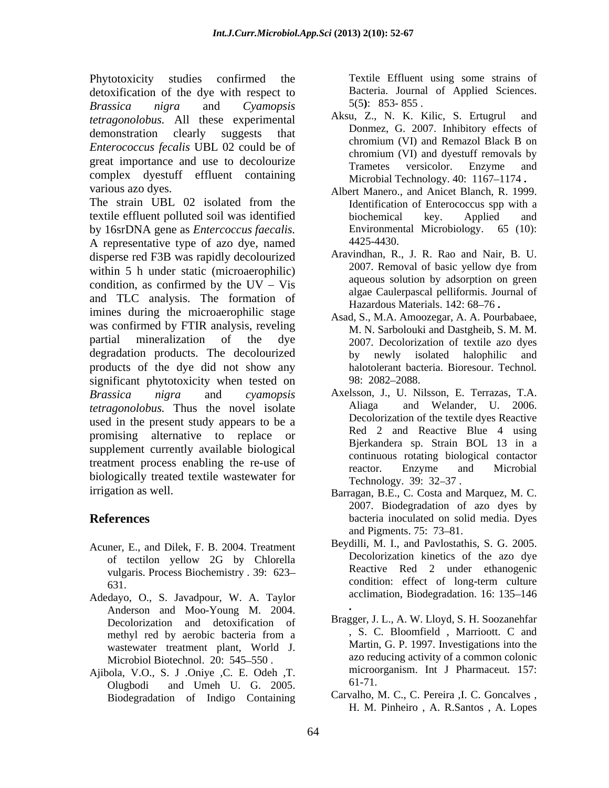Phytotoxicity studies confirmed the Textile Effluent using some strains of detoxification of the dye with respect to<br>
Bacteria. Journal of Applied Sciences.<br>
Brassica nigra and Cyamopsis 5(5): 853-855. *Brassica nigra* and *Cyamopsis tetragonolobus.* All these experimental Aksu, Z., N. K. Kilic, S. Ertugrul and demonstration clearly suggests that *Enterococcus fecalis* UBL 02 could be of great importance and use to decolourize<br>
Trametes versicolor. Enzyme and complex dyestuff effluent containing

The strain UBL 02 isolated from the textile effluent polluted soil was identified by 16srDNA gene as *Entercoccus faecalis.*  A representative type of azo dye, named disperse red F3B was rapidly decolourized Aravindhan, R., J. R. Rao and Nair, B. U.<br>2007. Removal of basic yellow dye from within 5 h under static (microaerophilic) condition, as confirmed by the  $UV - Vis$ and TLC analysis. The formation of imines during the microaerophilic stage was confirmed by FTIR analysis, reveling partial mineralization of the dye 2007. Decolorization of textile azo dyes degradation products. The decolourized by newly isolated halophilic and products of the dye did not show any significant phytotoxicity when tested on 98: 2082–2088. *Brassica nigra* and *cyamopsis*  Axelsson, J., U. Nilsson, E. Terrazas, T.A. *tetragonolobus.* Thus the novel isolate used in the present study appears to be a promising alternative to replace or supplement currently available biological treatment process enabling the re-use of the reactor. Enzyme and Microbial biologically treated textile wastewater for Technology. 39: 32–37.

- Acuner, E., and Dilek, F. B. 2004. Treatment of tectilon yellow 2G by Chlorella vulgaris. Process Biochemistry *.* 39: 623
- Adedayo, O., S. Javadpour, W. A. Taylor Anderson and Moo-Young M. 2004. Decolorization and detoxification of<br>methyl red by aerobic bacteria from a wastewater treatment plant, World J. Microbiol Biotechnol. 20: 545-550.
- Ajibola, V.O., S. J .Oniye , C. E. Odeh , T. microon Olugbodi and Umeh U. G. 2005.  $\qquad 61 - / 1$ . Biodegradation of Indigo Containing

Bacteria. Journal of Applied Sciences. 5(5**)**: 853- 855 .

- Aksu, Z., N. K. Kilic, S. Ertugrul Donmez, G. 2007. Inhibitory effects of chromium (VI) and Remazol Black B on chromium (VI) and dyestuff removals by Trametes versicolor. Enzyme and Microbial Technology. 40: 1167-1174.
- various azo dyes.<br>
Albert Manero., and Anicet Blanch, R. 1999. Identification of Enterococcus spp with a biochemical key. Applied and Environmental Microbiology. 65 (10): 4425-4430.
	- Aravindhan, R., J. R. Rao and Nair, B. U. 2007. Removal of basic yellow dye from aqueous solution by adsorption on green algae Caulerpascal pelliformis. Journal of Hazardous Materials. 142: 68-76.
	- Asad, S., M.A. Amoozegar, A. A. Pourbabaee, M. N. Sarbolouki and Dastgheib, S. M. M. by newly isolated halophilic halotolerant bacteria. Bioresour. Technol*.* 98: 2082 2088.
	- and Welander, U. 2006. Decolorization of the textile dyes Reactive Red 2 and Reactive Blue 4 using Bjerkandera sp. Strain BOL 13 in a continuous rotating biological contactor reactor. Enzyme and Microbial Technology. 39: 32–37.
- irrigation as well. Barragan, B.E., C. Costa and Marquez, M. C. **References** bacteria inoculated on solid media. Dyes 2007. Biodegradation of azo dyes by and Pigments. 75: 73–81.
	- 631. condition: effect of long-term culture Beydilli, M. I., and Pavlostathis, S. G. 2005. Decolorization kinetics of the azo dye Reactive Red 2 under ethanogenic condition: effect of long-term culture acclimation, Biodegradation. 16: 135–146
	- methyl red by aerobic bacteria from a head of S. C. Bloomfield, Marrioott. C and **.** Bragger, J. L., A. W. Lloyd, S. H. Soozanehfar , S. C. Bloomfield , Marrioott. C and Martin, G. P. 1997. Investigations into the azo reducing activity of a common colonic microorganism. Int J Pharmaceut*.* 157: 61-71.
		- Carvalho, M. C., C. Pereira ,I. C. Goncalves , H. M. Pinheiro , A. R.Santos , A. Lopes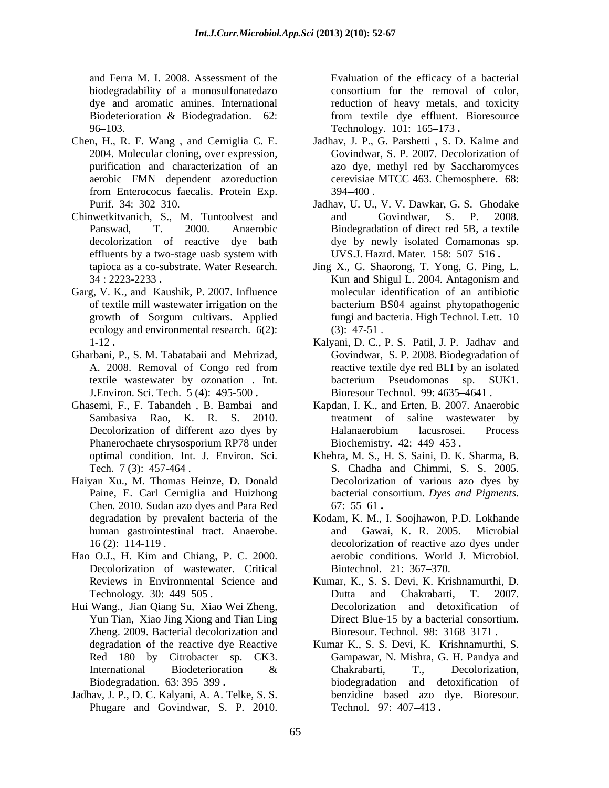and Ferra M. I. 2008. Assessment of the Evaluation of the efficacy of a bacterial biodegradability of a monosulfonatedazo consortium for the removal of color, dye and aromatic amines. International reduction of heavy metals, and toxicity Biodeterioration & Biodegradation. 62:

- from Enterococus faecalis. Protein Exp.
- Chinwetkitvanich, S., M. Tuntoolvest and and Govindwar, S. P. 2008.
- Garg, V. K., and Kaushik, P. 2007. Influence ecology and environmental research. 6(2):
- 
- Ghasemi, F., F. Tabandeh , B. Bambai and Kapdan, I. K., and Erten, B. 2007. Anaerobic
- Haiyan Xu., M. Thomas Heinze, D. Donald Chen. 2010. Sudan azo dyes and Para Red
- Hao O.J., H. Kim and Chiang, P. C. 2000. Decolorization of wastewater. Critical Biotechnol. 21: 367–370.
- Hui Wang., Jian Qiang Su, Xiao Wei Zheng, Zheng. 2009. Bacterial decolorization and
- Jadhav, J. P., D. C. Kalyani, A. A. Telke, S. S. Phugare and Govindwar, S. P. 2010. Technol. 97: 407-413.

96 103. Technology. 101: 165 173 **.** consortium for the removal of color, from textile dye effluent. Bioresource

- Chen, H., R. F. Wang, and Cerniglia C. E. Jadhav, J. P., G. Parshetti, S. D. Kalme and 2004. Molecular cloning, over expression, Govindwar, S. P. 2007. Decolorization of purification and characterization of an azo dye, methyl red by Saccharomyces aerobic FMN dependent azoreduction cerevisiae MTCC 463. Chemosphere. 68: Jadhav, J. P., G. Parshetti , S. D. Kalme and Govindwar, S. P. 2007. Decolorization of 394 400 .
	- Purif. 34: 302–310. Jadhav, U. U., V. V. Dawkar, G. S. Ghodake Panswad, T. 2000. Anaerobic Biodegradation of direct red 5B, a textile decolorization of reactive dye bath dye by newly isolated Comamonas sp. effluents by a two-stage uasb system with UVS.J. Hazrd. Mater. 158: 507–516. and Govindwar, S. P. 2008. UVS.J. Hazrd. Mater. 158: 507-516.
	- tapioca as a co-substrate. Water Research. Jing X., G. Shaorong, T. Yong, G. Ping, L. 34 : 2223-2233 **.** of textile mill wastewater irrigation on the growth of Sorgum cultivars. Applied Kun and Shigul L. 2004. Antagonism and molecular identification of an antibiotic bacterium BS04 against phytopathogenic fungi and bacteria. High Technol. Lett. 10 (3): 47-51 .
- 1-12 **.** Kalyani, D. C., P. S. Patil, J. P. Jadhav and Gharbani, P., S. M. Tabatabaii and Mehrizad, Govindwar, S. P. 2008. Biodegradation of A. 2008. Removal of Congo red from reactive textile dye red BLI by an isolated textile wastewater by ozonation . Int. J.Environ. Sci. Tech. 5 (4): 495-500 **.** Bioresour Technol. 99: 4635 4641 . reactive textile dye red BLI by an isolated bacterium Pseudomonas sp. SUK1.
	- Sambasiya Rao, K. R. S. 2010. Treatment of saline wastewater by Decolorization of different azo dyes by **Halanaerobium** lacusrosei. Process Phanerochaete chrysosporium RP78 under Biochemistry. 42: 449–453. treatment of saline wastewater Halanaerobium lacusrosei. Process Biochemistry*.* 42: 449 453 .
	- optimal condition. Int. J. Environ*.* Sci. Khehra, M. S., H. S. Saini, D. K. Sharma, B. Tech. 7 (3): 457-464 . S. Chadha and Chimmi, S. S. 2005. Paine, E. Carl Cerniglia and Huizhong bacterial consortium. Dyes and Pigments. Decolorization of various azo dyes by bacterial consortium. *Dyes and Pigments.* 67: 55 <sup>61</sup> **.**
	- degradation by prevalent bacteria of the Kodam, K. M., I. Soojhawon, P.D. Lokhande human gastrointestinal tract. Anaerobe. and Gawai, K. R. 2005. Microbial 16 (2): 114-119 . decolorization of reactive azo dyes under and Gawai, K. R. 2005. Microbial aerobic conditions. World J. Microbiol. Biotechnol. 21: 367–370.
	- Reviews in Environmental Science and Kumar, K., S. S. Devi, K. Krishnamurthi, D. Technology. 30: 449–505. Dutta and Chakrabarti, T. 2007. Yun Tian, Xiao Jing Xiong and Tian Ling Direct Blue-15 by a bacterial consortium. Dutta and Chakrabarti, T. 2007. Decolorization and detoxification of Bioresour. Technol. 98: 3168-3171.
	- degradation of the reactive dye Reactive Kumar K., S. S. Devi, K. Krishnamurthi, S. Red 180 by Citrobacter sp. CK3. Gampawar, N. Mishra, G. H. Pandya and International Biodeterioration & Chakrabarti, T., Decolorization, Biodegradation. 63: 395 399 **.** biodegradation and detoxification of Chakrabarti, T., Decolorization, benzidine based azo dye. Bioresour. Technol. 97: 407–413 **.**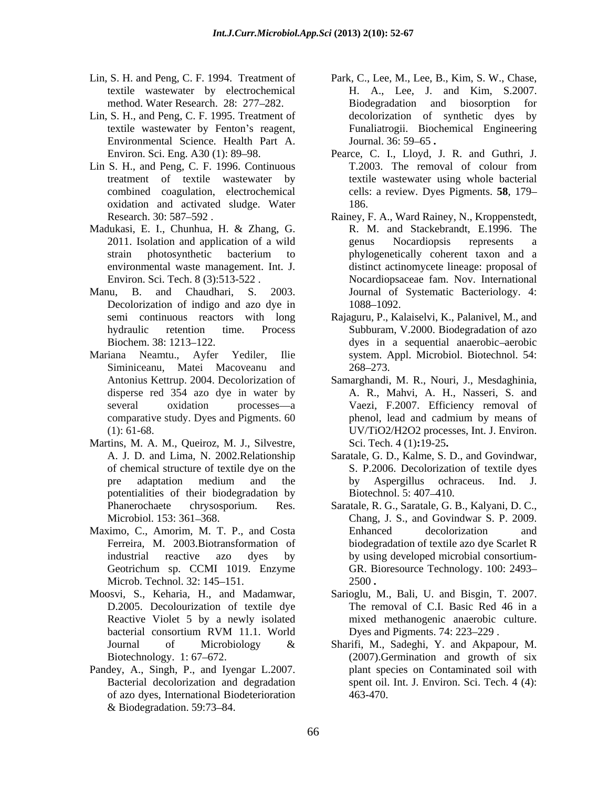- textile wastewater by electrochemical
- Lin, S. H., and Peng, C. F. 1995. Treatment of Environmental Science. Health Part A.
- treatment of textile wastewater by oxidation and activated sludge. Water
- Madukasi, E. I., Chunhua, H. & Zhang, G.
- Decolorization of indigo and azo dye in 1088-1092.
- Siminiceanu, Matei Macoveanu and 268–273.
- Martins, M. A. M., Queiroz, M. J., Silvestre, potentialities of their biodegradation by Biotechnol. 5:407-410.
- Maximo, C., Amorim, M. T. P., and Costa Microb. Technol. 32: 145–151. 2500.
- D.2005. Decolourization of textile dye
- Pandey, A., Singh, P., and Iyengar L.2007. of azo dyes, International Biodeterioration  $& Biodegradation. 59:73–84.$
- Lin, S. H. and Peng, C. F. 1994. Treatment of Park, C., Lee, M., Lee, B., Kim, S. W., Chase, method. Water Research. 28: 277 282. Biodegradation and biosorption for textile wastewater by Fenton's reagent, Funaliatrogii. Biochemical Engineering H. A., Lee, J. and Kim, S.2007. decolorization of synthetic dyes by Journal. 36: 59 65 **.**
- Environ. Sci. Eng. A30 (1): 89 98. Pearce, C. I., Lloyd, J. R. and Guthri, J. Lin S. H., and Peng, C. F. 1996. Continuous T.2003. The removal of colour from combined coagulation, electrochemical cells: a review. Dyes Pigments. **58**, 179 T.2003. The removal of colour from textile wastewater using whole bacterial 186.
- Research. 30: 587–592. Rainey, F. A., Ward Rainey, N., Kroppenstedt, 2011. Isolation and application of a wild strain photosynthetic bacterium to environmental waste management. Int. J. distinct actinomycete lineage: proposal of Environ. Sci. Tech. 8 (3):513-522 . Nocardiopsaceae fam. Nov. International Manu, B. and Chaudhari, S. 2003. Journal of Systematic Bacteriology. 4: R. M. and Stackebrandt, E.1996. The genus Nocardiopsis represents a phylogenetically coherent taxon and a 1088–1092.
- semi continuous reactors with long Rajaguru, P., Kalaiselvi, K., Palanivel, M., and hydraulic retention time. Process Subburam, V.2000. Biodegradation of azo Biochem. 38: 1213–122. dyes in a sequential anaerobic-aerobic Mariana Neamtu., Ayfer Yediler, Ilie system. Appl. Microbiol. Biotechnol. 54: 268 273.
	- Antonius Kettrup. 2004. Decolorization of Samarghandi, M. R., Nouri, J., Mesdaghinia, disperse red 354 azo dye in water by A. R., Mahvi, A. H., Nasseri, S. and several oxidation processes—a Vaezi, F.2007. Efficiency removal of comparative study. Dyes and Pigments. 60 (1): 61-68. UV/TiO2/H2O2 processes, Int. J. Environ. phenol, lead and cadmium by means of Sci. Tech. 4 (1)**:**19-25**.**
	- A. J. D. and Lima, N. 2002.Relationship Saratale, G. D., Kalme, S. D., and Govindwar, of chemical structure of textile dye on the S. P.2006. Decolorization of textile dyes pre adaptation medium and the by Aspergillus ochraceus. Ind. J. by Aspergillus ochraceus. Ind. J. Biotechnol. 5: 407–410.
	- Phanerochaete chrysosporium. Res. Saratale, R. G., Saratale, G. B., Kalyani, D. C., Microbiol. 153: 361 368. Chang, J. S., and Govindwar S. P. 2009. Ferreira, M. 2003.Biotransformation of biodegradation of textile azo dye Scarlet R industrial reactive azo dyes by by using developed microbial consortium- Geotrichum sp. CCMI 1019. Enzyme GR. Bioresource Technology. 100: 2493 Enhanced decolorization and 2500 **.**
- Moosvi, S., Keharia, H., and Madamwar, Sarioglu, M., Bali, U. and Bisgin, T. 2007. Reactive Violet 5 by a newly isolated mixed methanogenic anaerobic culture. bacterial consortium RVM 11.1. World Dyes and Pigments. 74: 223–229. The removal of C.I. Basic Red 46 in a Dyes and Pigments. 74: 223–229.
	- Journal of Microbiology & Sharifi, M., Sadeghi, Y. and Akpapour, M. Biotechnology. 1:67–672. (2007). Germination and growth of six Bacterial decolorization and degradation spent oil. Int. J. Environ. Sci. Tech. 4 (4): plant species on Contaminated soil with 463-470.